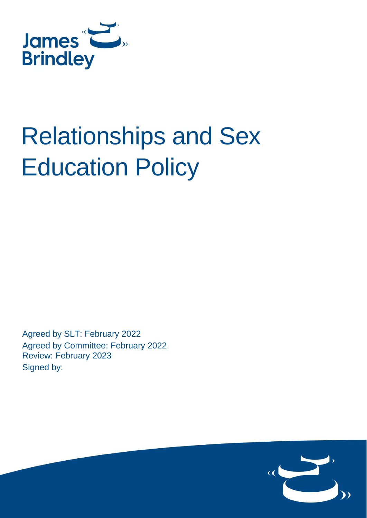

# Relationships and Sex Education Policy

Agreed by SLT: February 2022 Agreed by Committee: February 2022 Review: February 2023 Signed by:

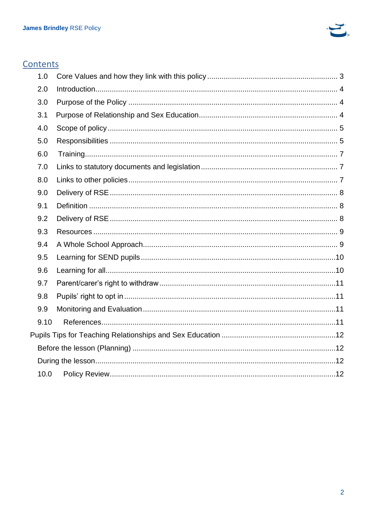

# Contents

| 1.0  |  |
|------|--|
| 2.0  |  |
| 3.0  |  |
| 3.1  |  |
| 4.0  |  |
| 5.0  |  |
| 6.0  |  |
| 7.0  |  |
| 8.0  |  |
| 9.0  |  |
| 9.1  |  |
| 9.2  |  |
| 9.3  |  |
| 9.4  |  |
| 9.5  |  |
| 9.6  |  |
| 9.7  |  |
| 9.8  |  |
| 9.9  |  |
| 9.10 |  |
|      |  |
|      |  |
|      |  |
|      |  |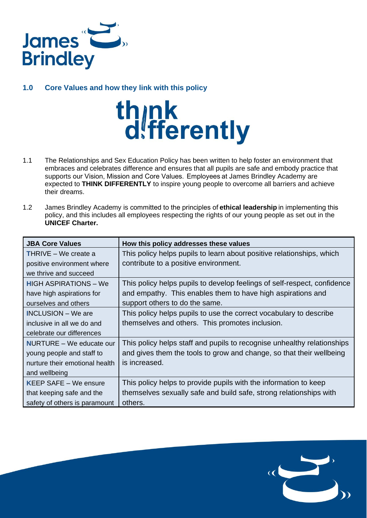

# <span id="page-2-0"></span>**1.0 Core Values and how they link with this policy**



- 1.1 The Relationships and Sex Education Policy has been written to help foster an environment that embraces and celebrates difference and ensures that all pupils are safe and embody practice that supports our Vision, Mission and Core Values.  Employees at James Brindley Academy are expected to **THINK DIFFERENTLY** to inspire young people to overcome all barriers and achieve their dreams.
- 1.2 James Brindley Academy is committed to the principles of **[ethical leadership](file:///C:/Users/biggsk/James%20Brindley%20School/Whole%20School%20Staff%20-%20General/Wholeschool/Ethical%20Leadership/Resource%20pack.pdf%22%20/t%20%22_blank)** in implementing this policy, and this includes all employees respecting the rights of our young people as set out in the **UNICEF Charter.**

| <b>JBA Core Values</b>          | How this policy addresses these values                                   |  |  |  |
|---------------------------------|--------------------------------------------------------------------------|--|--|--|
| <b>THRIVE – We create a</b>     | This policy helps pupils to learn about positive relationships, which    |  |  |  |
| positive environment where      | contribute to a positive environment.                                    |  |  |  |
| we thrive and succeed           |                                                                          |  |  |  |
| <b>HIGH ASPIRATIONS – We</b>    | This policy helps pupils to develop feelings of self-respect, confidence |  |  |  |
| have high aspirations for       | and empathy. This enables them to have high aspirations and              |  |  |  |
| ourselves and others            | support others to do the same.                                           |  |  |  |
| <b>INCLUSION</b> – We are       | This policy helps pupils to use the correct vocabulary to describe       |  |  |  |
| inclusive in all we do and      | themselves and others. This promotes inclusion.                          |  |  |  |
| celebrate our differences       |                                                                          |  |  |  |
| <b>NURTURE</b> – We educate our | This policy helps staff and pupils to recognise unhealthy relationships  |  |  |  |
| young people and staff to       | and gives them the tools to grow and change, so that their wellbeing     |  |  |  |
| nurture their emotional health  | is increased.                                                            |  |  |  |
| and wellbeing                   |                                                                          |  |  |  |
| <b>KEEP SAFE – We ensure</b>    | This policy helps to provide pupils with the information to keep         |  |  |  |
| that keeping safe and the       | themselves sexually safe and build safe, strong relationships with       |  |  |  |
| safety of others is paramount   | others.                                                                  |  |  |  |

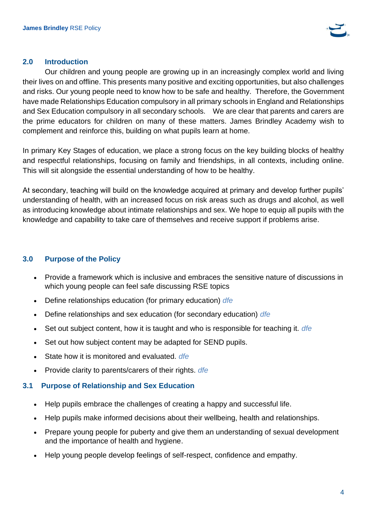

#### <span id="page-3-0"></span>**2.0 Introduction**

Our children and young people are growing up in an increasingly complex world and living their lives on and offline. This presents many positive and exciting opportunities, but also challenges and risks. Our young people need to know how to be safe and healthy. Therefore, the Government have made Relationships Education compulsory in all primary schools in England and Relationships and Sex Education compulsory in all secondary schools. We are clear that parents and carers are the prime educators for children on many of these matters. James Brindley Academy wish to complement and reinforce this, building on what pupils learn at home.

In primary Key Stages of education, we place a strong focus on the key building blocks of healthy and respectful relationships, focusing on family and friendships, in all contexts, including online. This will sit alongside the essential understanding of how to be healthy.

At secondary, teaching will build on the knowledge acquired at primary and develop further pupils' understanding of health, with an increased focus on risk areas such as drugs and alcohol, as well as introducing knowledge about intimate relationships and sex. We hope to equip all pupils with the knowledge and capability to take care of themselves and receive support if problems arise.

#### <span id="page-3-1"></span>**3.0 Purpose of the Policy**

- Provide a framework which is inclusive and embraces the sensitive nature of discussions in which young people can feel safe discussing RSE topics
- Define relationships education (for primary education) *dfe*
- Define relationships and sex education (for secondary education) *dfe*
- Set out subject content, how it is taught and who is responsible for teaching it. *dfe*
- Set out how subject content may be adapted for SEND pupils.
- State how it is monitored and evaluated. *dfe*
- Provide clarity to parents/carers of their rights. *dfe*

#### <span id="page-3-2"></span>**3.1 Purpose of Relationship and Sex Education**

- Help pupils embrace the challenges of creating a happy and successful life.
- Help pupils make informed decisions about their wellbeing, health and relationships.
- Prepare young people for puberty and give them an understanding of sexual development and the importance of health and hygiene.
- Help young people develop feelings of self-respect, confidence and empathy.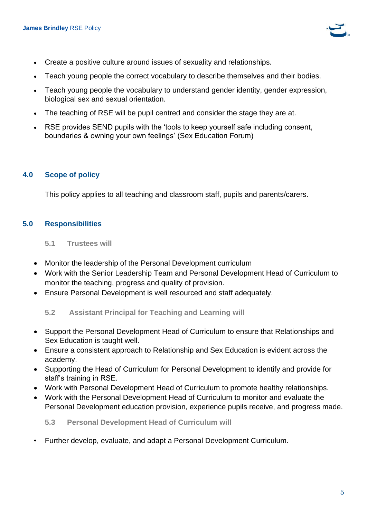

- Create a positive culture around issues of sexuality and relationships.
- Teach young people the correct vocabulary to describe themselves and their bodies.
- Teach young people the vocabulary to understand gender identity, gender expression, biological sex and sexual orientation.
- The teaching of RSE will be pupil centred and consider the stage they are at.
- RSE provides SEND pupils with the 'tools to keep yourself safe including consent, boundaries & owning your own feelings' (Sex Education Forum)

#### <span id="page-4-0"></span>**4.0 Scope of policy**

This policy applies to all teaching and classroom staff, pupils and parents/carers.

#### <span id="page-4-1"></span>**5.0 Responsibilities**

#### **5.1 Trustees will**

- Monitor the leadership of the Personal Development curriculum
- Work with the Senior Leadership Team and Personal Development Head of Curriculum to monitor the teaching, progress and quality of provision.
- Ensure Personal Development is well resourced and staff adequately.

**5.2 Assistant Principal for Teaching and Learning will**

- Support the Personal Development Head of Curriculum to ensure that Relationships and Sex Education is taught well.
- Ensure a consistent approach to Relationship and Sex Education is evident across the academy.
- Supporting the Head of Curriculum for Personal Development to identify and provide for staff's training in RSE.
- Work with Personal Development Head of Curriculum to promote healthy relationships.
- Work with the Personal Development Head of Curriculum to monitor and evaluate the Personal Development education provision, experience pupils receive, and progress made.

#### **5.3 Personal Development Head of Curriculum will**

• Further develop, evaluate, and adapt a Personal Development Curriculum.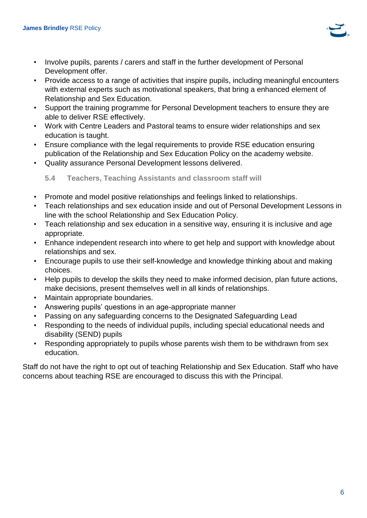

- Involve pupils, parents / carers and staff in the further development of Personal Development offer.
- Provide access to a range of activities that inspire pupils, including meaningful encounters with external experts such as motivational speakers, that bring a enhanced element of Relationship and Sex Education.
- Support the training programme for Personal Development teachers to ensure they are able to deliver RSE effectively.
- Work with Centre Leaders and Pastoral teams to ensure wider relationships and sex education is taught.
- Ensure compliance with the legal requirements to provide RSE education ensuring publication of the Relationship and Sex Education Policy on the academy website.
- Quality assurance Personal Development lessons delivered.

#### **5.4 Teachers, Teaching Assistants and classroom staff will**

- Promote and model positive relationships and feelings linked to relationships.
- Teach relationships and sex education inside and out of Personal Development Lessons in line with the school Relationship and Sex Education Policy.
- Teach relationship and sex education in a sensitive way, ensuring it is inclusive and age appropriate.
- Enhance independent research into where to get help and support with knowledge about relationships and sex.
- Encourage pupils to use their self-knowledge and knowledge thinking about and making choices.
- Help pupils to develop the skills they need to make informed decision, plan future actions, make decisions, present themselves well in all kinds of relationships.
- Maintain appropriate boundaries.
- Answering pupils' questions in an age-appropriate manner
- Passing on any safeguarding concerns to the Designated Safeguarding Lead
- Responding to the needs of individual pupils, including special educational needs and disability (SEND) pupils
- Responding appropriately to pupils whose parents wish them to be withdrawn from sex education.

Staff do not have the right to opt out of teaching Relationship and Sex Education. Staff who have concerns about teaching RSE are encouraged to discuss this with the Principal.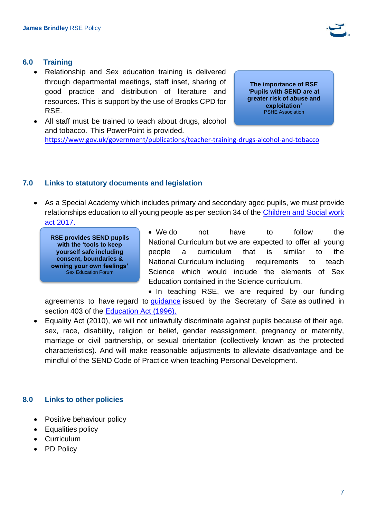#### <span id="page-6-0"></span>**6.0 Training**

• Relationship and Sex education training is delivered through departmental meetings, staff inset, sharing of good practice and distribution of literature and resources. This is support by the use of Brooks CPD for RSE.

**The importance of RSE 'Pupils with SEND are at greater risk of abuse and exploitation'** PSHE Association

• All staff must be trained to teach about drugs, alcohol and tobacco. This PowerPoint is provided. <https://www.gov.uk/government/publications/teacher-training-drugs-alcohol-and-tobacco>

#### <span id="page-6-1"></span>**7.0 Links to statutory documents and legislation**

• As a Special Academy which includes primary and secondary aged pupils, we must provide relationships education to all young people as per section 34 of the [Children and](http://www.legislation.gov.uk/ukpga/2017/16/section/34/enacted) Social work [act 2017.](http://www.legislation.gov.uk/ukpga/2017/16/section/34/enacted)

**RSE provides SEND pupils with the 'tools to keep yourself safe including consent, boundaries & owning your own feelings'** Sex Education Forum

• We do not have to follow the National Curriculum but we are expected to offer all young people a curriculum that is similar to the National Curriculum including requirements to teach Science which would include the elements of Sex Education contained in the Science curriculum.

• In teaching RSE, we are required by our funding agreements to have regard to [guidance](https://www.gov.uk/government/consultations/relationships-and-sex-education-and-health-education) issued by the Secretary of Sate as outlined in section 403 of the [Education Act \(1996\).](http://www.legislation.gov.uk/ukpga/1996/56/contents)

• Equality Act (2010), we will not unlawfully discriminate against pupils because of their age, sex, race, disability, religion or belief, gender reassignment, pregnancy or maternity, marriage or civil partnership, or sexual orientation (collectively known as the protected characteristics). And will make reasonable adjustments to alleviate disadvantage and be mindful of the SEND Code of Practice when teaching Personal Development.

# <span id="page-6-2"></span>**8.0 Links to other policies**

- Positive behaviour policy
- Equalities policy
- Curriculum
- PD Policy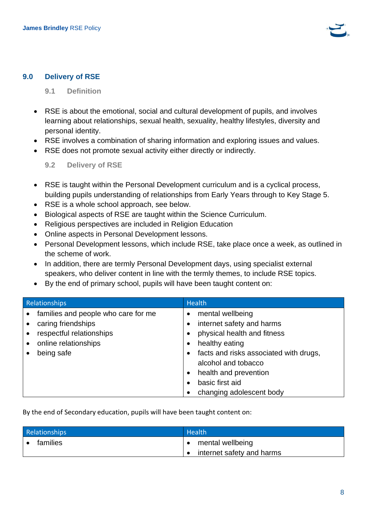

# <span id="page-7-1"></span><span id="page-7-0"></span>**9.0 Delivery of RSE**

#### **9.1 Definition**

- RSE is about the emotional, social and cultural development of pupils, and involves learning about relationships, sexual health, sexuality, healthy lifestyles, diversity and personal identity.
- RSE involves a combination of sharing information and exploring issues and values.
- <span id="page-7-2"></span>• RSE does not promote sexual activity either directly or indirectly.

**9.2 Delivery of RSE** 

- RSE is taught within the Personal Development curriculum and is a cyclical process, building pupils understanding of relationships from Early Years through to Key Stage 5.
- RSE is a whole school approach, see below.
- Biological aspects of RSE are taught within the Science Curriculum.
- Religious perspectives are included in Religion Education
- Online aspects in Personal Development lessons.
- Personal Development lessons, which include RSE, take place once a week, as outlined in the scheme of work.
- In addition, there are termly Personal Development days, using specialist external speakers, who deliver content in line with the termly themes, to include RSE topics.
- By the end of primary school, pupils will have been taught content on:

| Relationships |                                     | <b>Health</b> |                                        |
|---------------|-------------------------------------|---------------|----------------------------------------|
|               | families and people who care for me | ٠             | mental wellbeing                       |
|               | caring friendships                  |               | internet safety and harms              |
|               | respectful relationships            |               | physical health and fitness            |
|               | online relationships                |               | healthy eating                         |
|               | being safe                          |               | facts and risks associated with drugs, |
|               |                                     |               | alcohol and tobacco                    |
|               |                                     | $\bullet$     | health and prevention                  |
|               |                                     |               | basic first aid                        |
|               |                                     |               | changing adolescent body               |

By the end of Secondary education, pupils will have been taught content on:

| Relationships | Health <sup>1</sup>                           |  |
|---------------|-----------------------------------------------|--|
| families      | mental wellbeing<br>internet safety and harms |  |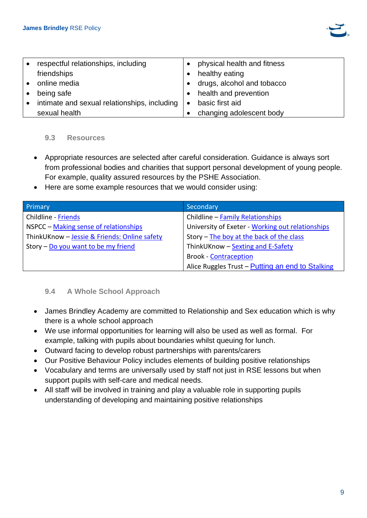

| $\bullet$ | respectful relationships, including          | physical health and fitness |
|-----------|----------------------------------------------|-----------------------------|
|           | friendships                                  | healthy eating              |
| $\bullet$ | online media                                 | drugs, alcohol and tobacco  |
| $\bullet$ | being safe                                   | health and prevention       |
| $\bullet$ | intimate and sexual relationships, including | basic first aid             |
|           | sexual health                                | changing adolescent body    |

#### <span id="page-8-0"></span>**9.3 Resources**

- Appropriate resources are selected after careful consideration. Guidance is always sort from professional bodies and charities that support personal development of young people. For example, quality assured resources by the PSHE Association.
- Here are some example resources that we would consider using:

| Primary                                      | Secondary                                        |
|----------------------------------------------|--------------------------------------------------|
| Childline - Friends                          | Childline - Family Relationships                 |
| NSPCC - Making sense of relationships        | University of Exeter - Working out relationships |
| ThinkUKnow - Jessie & Friends: Online safety | Story - The boy at the back of the class         |
| Story - Do you want to be my friend          | ThinkUKnow - Sexting and E-Safety                |
|                                              | <b>Brook - Contraception</b>                     |
|                                              | Alice Ruggles Trust – Putting an end to Stalking |

#### <span id="page-8-1"></span>**9.4 A Whole School Approach**

- James Brindley Academy are committed to Relationship and Sex education which is why there is a whole school approach
- We use informal opportunities for learning will also be used as well as formal. For example, talking with pupils about boundaries whilst queuing for lunch.
- Outward facing to develop robust partnerships with parents/carers
- Our Positive Behaviour Policy includes elements of building positive relationships
- Vocabulary and terms are universally used by staff not just in RSE lessons but when support pupils with self-care and medical needs.
- All staff will be involved in training and play a valuable role in supporting pupils understanding of developing and maintaining positive relationships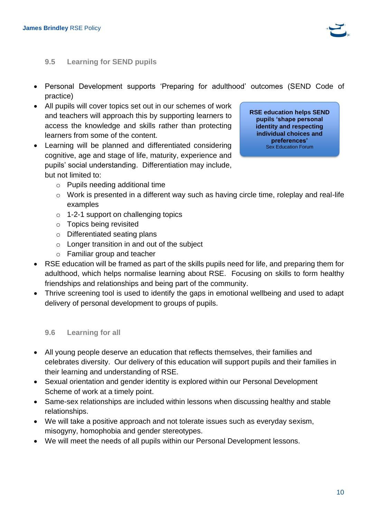

#### <span id="page-9-0"></span>**9.5 Learning for SEND pupils**

- Personal Development supports 'Preparing for adulthood' outcomes (SEND Code of practice)
- All pupils will cover topics set out in our schemes of work and teachers will approach this by supporting learners to access the knowledge and skills rather than protecting learners from some of the content.
- Learning will be planned and differentiated considering cognitive, age and stage of life, maturity, experience and pupils' social understanding. Differentiation may include, but not limited to:

**RSE education helps SEND pupils 'shape personal identity and respecting individual choices and preferences'** Sex Education Forum

- o Pupils needing additional time
- $\circ$  Work is presented in a different way such as having circle time, roleplay and real-life examples
- o 1-2-1 support on challenging topics
- o Topics being revisited
- o Differentiated seating plans
- o Longer transition in and out of the subject
- o Familiar group and teacher
- RSE education will be framed as part of the skills pupils need for life, and preparing them for adulthood, which helps normalise learning about RSE. Focusing on skills to form healthy friendships and relationships and being part of the community.
- Thrive screening tool is used to identify the gaps in emotional wellbeing and used to adapt delivery of personal development to groups of pupils.

#### <span id="page-9-1"></span>**9.6 Learning for all**

- All young people deserve an education that reflects themselves, their families and celebrates diversity. Our delivery of this education will support pupils and their families in their learning and understanding of RSE.
- Sexual orientation and gender identity is explored within our Personal Development Scheme of work at a timely point.
- Same-sex relationships are included within lessons when discussing healthy and stable relationships.
- We will take a positive approach and not tolerate issues such as everyday sexism, misogyny, homophobia and gender stereotypes.
- We will meet the needs of all pupils within our Personal Development lessons.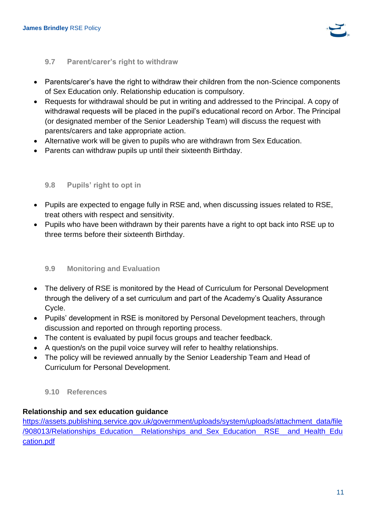

#### <span id="page-10-0"></span>**9.7 Parent/carer's right to withdraw**

- Parents/carer's have the right to withdraw their children from the non-Science components of Sex Education only. Relationship education is compulsory.
- Requests for withdrawal should be put in writing and addressed to the Principal. A copy of withdrawal requests will be placed in the pupil's educational record on Arbor. The Principal (or designated member of the Senior Leadership Team) will discuss the request with parents/carers and take appropriate action.
- Alternative work will be given to pupils who are withdrawn from Sex Education.
- Parents can withdraw pupils up until their sixteenth Birthday.

#### <span id="page-10-1"></span>**9.8 Pupils' right to opt in**

- Pupils are expected to engage fully in RSE and, when discussing issues related to RSE, treat others with respect and sensitivity.
- Pupils who have been withdrawn by their parents have a right to opt back into RSE up to three terms before their sixteenth Birthday.

#### <span id="page-10-2"></span>**9.9 Monitoring and Evaluation**

- The delivery of RSE is monitored by the Head of Curriculum for Personal Development through the delivery of a set curriculum and part of the Academy's Quality Assurance Cycle.
- Pupils' development in RSE is monitored by Personal Development teachers, through discussion and reported on through reporting process.
- The content is evaluated by pupil focus groups and teacher feedback.
- A question/s on the pupil voice survey will refer to healthy relationships.
- The policy will be reviewed annually by the Senior Leadership Team and Head of Curriculum for Personal Development.

#### <span id="page-10-3"></span>**9.10 References**

# **Relationship and sex education guidance**

[https://assets.publishing.service.gov.uk/government/uploads/system/uploads/attachment\\_data/file](https://assets.publishing.service.gov.uk/government/uploads/system/uploads/attachment_data/file/908013/Relationships_Education__Relationships_and_Sex_Education__RSE__and_Health_Education.pdf) /908013/Relationships\_Education Relationships\_and\_Sex\_Education RSE and Health\_Edu [cation.pdf](https://assets.publishing.service.gov.uk/government/uploads/system/uploads/attachment_data/file/908013/Relationships_Education__Relationships_and_Sex_Education__RSE__and_Health_Education.pdf)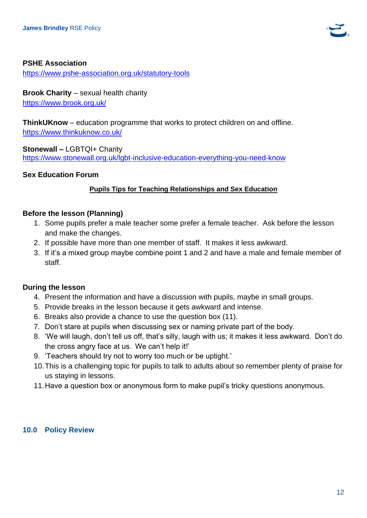

#### **PSHE Association**

<https://www.pshe-association.org.uk/statutory-tools>

### **Brook Charity** – sexual health charity

<https://www.brook.org.uk/>

**ThinkUKnow** – education programme that works to protect children on and offline. <https://www.thinkuknow.co.uk/>

**Stonewall –** LGBTQI+ Charity <https://www.stonewall.org.uk/lgbt-inclusive-education-everything-you-need-know>

#### <span id="page-11-0"></span>**Sex Education Forum**

#### **Pupils Tips for Teaching Relationships and Sex Education**

#### <span id="page-11-1"></span>**Before the lesson (Planning)**

- 1. Some pupils prefer a male teacher some prefer a female teacher. Ask before the lesson and make the changes.
- 2. If possible have more than one member of staff. It makes it less awkward.
- 3. If it's a mixed group maybe combine point 1 and 2 and have a male and female member of staff.

# <span id="page-11-2"></span>**During the lesson**

- 4. Present the information and have a discussion with pupils, maybe in small groups.
- 5. Provide breaks in the lesson because it gets awkward and intense.
- 6. Breaks also provide a chance to use the question box (11).
- 7. Don't stare at pupils when discussing sex or naming private part of the body.
- 8. 'We will laugh, don't tell us off, that's silly, laugh with us; it makes it less awkward.  Don't do the cross angry face at us.  We can't help it!'
- 9. 'Teachers should try not to worry too much or be uptight.'
- 10.This is a challenging topic for pupils to talk to adults about so remember plenty of praise for us staying in lessons.
- 11.Have a question box or anonymous form to make pupil's tricky questions anonymous.

# <span id="page-11-3"></span>**10.0 Policy Review**